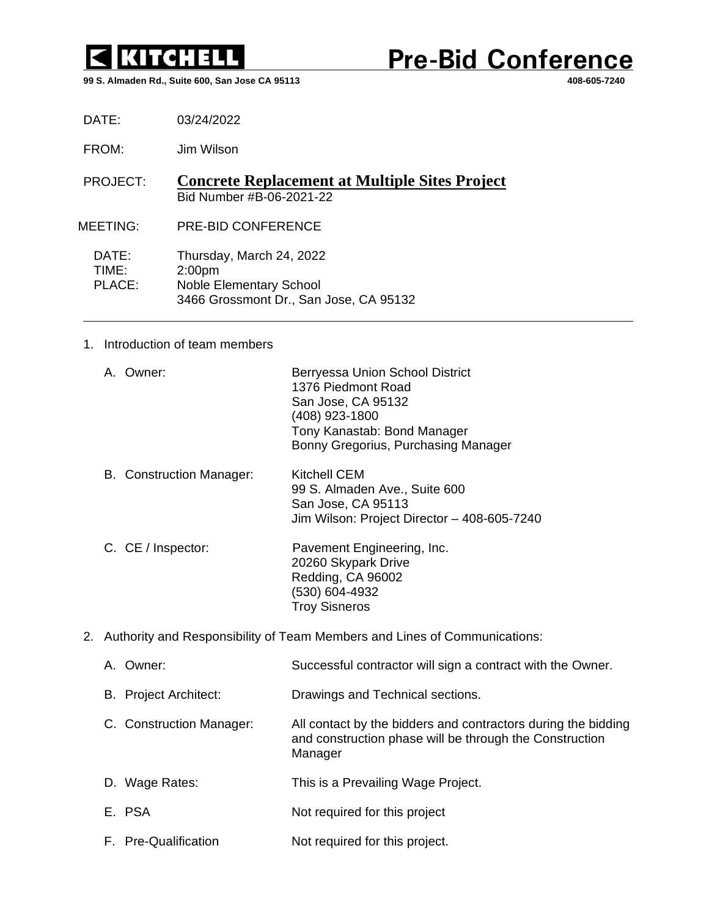

**Pre-Bid Conference** 

**99 S. Almaden Rd., Suite 600, San Jose CA 95113 408-605-7240**

DATE: 03/24/2022

FROM: Jim Wilson

PROJECT: **Concrete Replacement at Multiple Sites Project** Bid Number #B-06-2021-22

MEETING: PRE-BID CONFERENCE

DATE: Thursday, March 24, 2022<br>TIME: 2:00pm 2:00pm PLACE: Noble Elementary School 3466 Grossmont Dr., San Jose, CA 95132

## 1. Introduction of team members

|  | A. Owner: | Berryessa Union School District<br>1376 Piedmont Road |
|--|-----------|-------------------------------------------------------|
|  |           | San Jose, CA 95132                                    |
|  |           | (408) 923-1800                                        |
|  |           | Tony Kanastab: Bond Manager                           |
|  |           | Bonny Gregorius, Purchasing Manager                   |

B. Construction Manager: Kitchell CEM 99 S. Almaden Ave., Suite 600 San Jose, CA 95113 Jim Wilson: Project Director – 408-605-7240

- C. CE / Inspector: Pavement Engineering, Inc. 20260 Skypark Drive Redding, CA 96002 (530) 604-4932 Troy Sisneros
- 2. Authority and Responsibility of Team Members and Lines of Communications:

| A. Owner:                    | Successful contractor will sign a contract with the Owner.                                                                          |
|------------------------------|-------------------------------------------------------------------------------------------------------------------------------------|
| <b>B.</b> Project Architect: | Drawings and Technical sections.                                                                                                    |
| C. Construction Manager:     | All contact by the bidders and contractors during the bidding<br>and construction phase will be through the Construction<br>Manager |
| D. Wage Rates:               | This is a Prevailing Wage Project.                                                                                                  |
| E. PSA                       | Not required for this project                                                                                                       |
| F. Pre-Qualification         | Not required for this project.                                                                                                      |